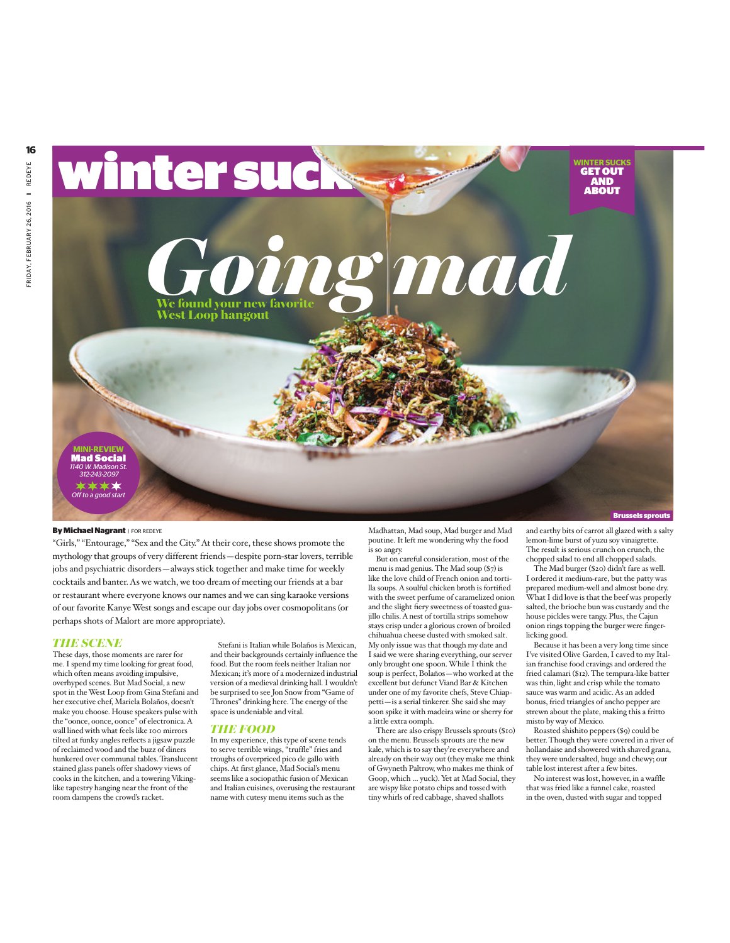

### **By Michael Nagrant** | FOR REDEYE

"Girls,""Entourage," "Sex and the City."At their core, these shows promote the mythology that groups of very different friends—despite porn-star lovers, terrible jobs and psychiatric disorders—always stick together and make time for weekly cocktails and banter.As we watch, we too dream of meeting our friends at a bar or restaurant where everyone knows our names and we can sing karaoke versions of our favorite KanyeWest songs and escape our day jobs over cosmopolitans (or perhaps shots of Malort are more appropriate).

### *THE SCENE*

These days, those moments are rarer for me. I spend my time looking for great food, which often means avoiding impulsive, overhyped scenes. But Mad Social, a new spot in theWest Loop from Gina Stefani and her executive chef, Mariela Bolaños, doesn't make you choose. House speakers pulse with the "oonce, oonce, oonce" of electronica.A wall lined with what feels like 100 mirrors tilted at funky angles reflects a jigsaw puzzle of reclaimed wood and the buzz of diners hunkered over communal tables.Translucent stained glass panels offer shadowy views of cooks in the kitchen, and a towering Vikinglike tapestry hanging near the front of the room dampens the crowd's racket.

Stefani is Italian while Bolaños is Mexican, and their backgrounds certainly influence the food. But the room feels neither Italian nor Mexican; it's more of a modernized industrial version of a medieval drinking hall. I wouldn't be surprised to see Jon Snow from "Game of Thrones" drinking here.The energy of the space is undeniable and vital.

#### *THE FOOD*

In my experience, this type of scene tends to serve terrible wings, "truffle" fries and troughs of overpriced pico de gallo with chips.At first glance, Mad Social's menu seems like a sociopathic fusion of Mexican and Italian cuisines, overusing the restaurant name with cutesy menu items such as the

Madhattan, Mad soup, Mad burger and Mad poutine. It left me wondering why the food is so angry.

But on careful consideration, most of the menu is mad genius.The Mad soup (\$7) is like the love child of French onion and tortilla soups.Asoulful chicken broth is fortified with the sweet perfume of caramelized onion and the slight fiery sweetness of toasted guajillo chilis.Anest of tortilla strips somehow stays crisp under a glorious crown of broiled chihuahua cheese dusted with smoked salt. My only issue was that though my date and I said we were sharing everything, our server only brought one spoon.While I think the soup is perfect, Bolaños—who worked at the excellent but defunct Viand Bar & Kitchen under one of my favorite chefs, Steve Chiappetti—is a serial tinkerer. She said she may soon spike it with madeira wine or sherry for a little extra oomph.

There are also crispy Brussels sprouts (\$10) on the menu. Brussels sprouts are the new kale, which is to say they're everywhere and already on their way out (they make me think of Gwyneth Paltrow, who makes me think of Goop, which ... yuck). Yet at Mad Social, they are wispy like potato chips and tossed with tiny whirls of red cabbage, shaved shallots

**Brussels sprouts**

and earthy bits of carrot all glazed with a salty lemon-lime burst of yuzu soy vinaigrette. The result is serious crunch on crunch, the chopped salad to end all chopped salads.

The Mad burger (\$20) didn't fare as well. I ordered it medium-rare, but the patty was prepared medium-well and almost bone dry. What I did love is that the beef was properly salted, the brioche bun was custardy and the house pickles were tangy. Plus, the Cajun onion rings topping the burger were fingerlicking good.

Because it has been a very long time since I've visited Olive Garden, I caved to my Italian franchise food cravings and ordered the fried calamari (\$12).The tempura-like batter was thin, light and crisp while the tomato sauce was warm and acidic.As an added bonus, fried triangles of ancho pepper are strewn about the plate, making this a fritto misto by way of Mexico.

Roasted shishito peppers (\$9) could be better.Though they were covered in a river of hollandaise and showered with shaved grana, they were undersalted, huge and chewy; our table lost interest after a few bites.

No interest was lost, however, in a waffle that was fried like a funnel cake, roasted in the oven, dusted with sugar and topped